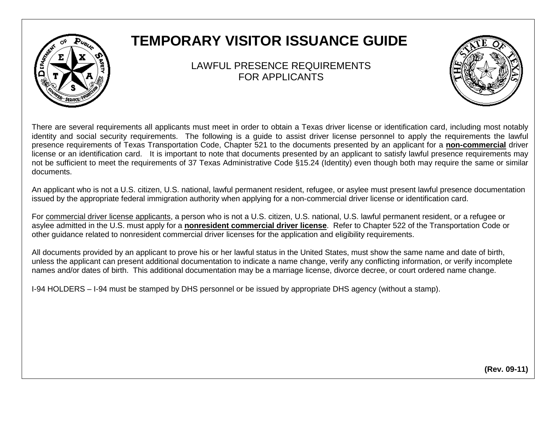## **TEMPORARY VISITOR ISSUANCE GUIDE**

## LAWFUL PRESENCE REQUIREMENTS FOR APPLICANTS



There are several requirements all applicants must meet in order to obtain a Texas driver license or identification card, including most notably identity and social security requirements. The following is a guide to assist driver license personnel to apply the requirements the lawful presence requirements of Texas Transportation Code, Chapter 521 to the documents presented by an applicant for a **non-commercial** driver license or an identification card. It is important to note that documents presented by an applicant to satisfy lawful presence requirements may not be sufficient to meet the requirements of 37 Texas Administrative Code §15.24 (Identity) even though both may require the same or similar documents.

An applicant who is not a U.S. citizen, U.S. national, lawful permanent resident, refugee, or asylee must present lawful presence documentation issued by the appropriate federal immigration authority when applying for a non-commercial driver license or identification card.

For commercial driver license applicants, a person who is not a U.S. citizen, U.S. national, U.S. lawful permanent resident, or a refugee or asylee admitted in the U.S. must apply for a **nonresident commercial driver license**. Refer to Chapter 522 of the Transportation Code or other guidance related to nonresident commercial driver licenses for the application and eligibility requirements.

All documents provided by an applicant to prove his or her lawful status in the United States, must show the same name and date of birth, unless the applicant can present additional documentation to indicate a name change, verify any conflicting information, or verify incomplete names and/or dates of birth. This additional documentation may be a marriage license, divorce decree, or court ordered name change.

I-94 HOLDERS – I-94 must be stamped by DHS personnel or be issued by appropriate DHS agency (without a stamp).

**(Rev. 09-11)**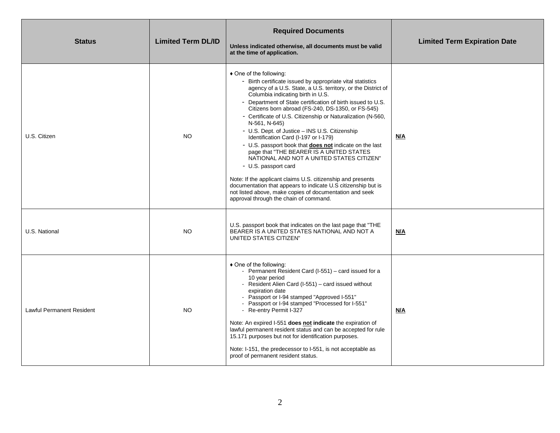| <b>Status</b>                    | <b>Limited Term DL/ID</b> | <b>Required Documents</b><br>Unless indicated otherwise, all documents must be valid<br>at the time of application.                                                                                                                                                                                                                                                                                                                                                                                                                                                                                                                                                                                                                                                                                                                                                                                              | <b>Limited Term Expiration Date</b> |
|----------------------------------|---------------------------|------------------------------------------------------------------------------------------------------------------------------------------------------------------------------------------------------------------------------------------------------------------------------------------------------------------------------------------------------------------------------------------------------------------------------------------------------------------------------------------------------------------------------------------------------------------------------------------------------------------------------------------------------------------------------------------------------------------------------------------------------------------------------------------------------------------------------------------------------------------------------------------------------------------|-------------------------------------|
| U.S. Citizen                     | NO.                       | ♦ One of the following:<br>- Birth certificate issued by appropriate vital statistics<br>agency of a U.S. State, a U.S. territory, or the District of<br>Columbia indicating birth in U.S.<br>- Department of State certification of birth issued to U.S.<br>Citizens born abroad (FS-240, DS-1350, or FS-545)<br>- Certificate of U.S. Citizenship or Naturalization (N-560,<br>N-561, N-645)<br>- U.S. Dept. of Justice - INS U.S. Citizenship<br>Identification Card (I-197 or I-179)<br>- U.S. passport book that <b>does not</b> indicate on the last<br>page that "THE BEARER IS A UNITED STATES<br>NATIONAL AND NOT A UNITED STATES CITIZEN"<br>- U.S. passport card<br>Note: If the applicant claims U.S. citizenship and presents<br>documentation that appears to indicate U.S citizenship but is<br>not listed above, make copies of documentation and seek<br>approval through the chain of command. | N/A                                 |
| U.S. National                    | NO.                       | U.S. passport book that indicates on the last page that "THE"<br>BEARER IS A UNITED STATES NATIONAL AND NOT A<br>UNITED STATES CITIZEN"                                                                                                                                                                                                                                                                                                                                                                                                                                                                                                                                                                                                                                                                                                                                                                          | <u>N/A</u>                          |
| <b>Lawful Permanent Resident</b> | NO.                       | ♦ One of the following:<br>- Permanent Resident Card (I-551) - card issued for a<br>10 year period<br>- Resident Alien Card (I-551) - card issued without<br>expiration date<br>- Passport or I-94 stamped "Approved I-551"<br>- Passport or I-94 stamped "Processed for I-551"<br>- Re-entry Permit I-327<br>Note: An expired I-551 does not indicate the expiration of<br>lawful permanent resident status and can be accepted for rule<br>15.171 purposes but not for identification purposes.<br>Note: I-151, the predecessor to I-551, is not acceptable as<br>proof of permanent resident status.                                                                                                                                                                                                                                                                                                          | <u>N/A</u>                          |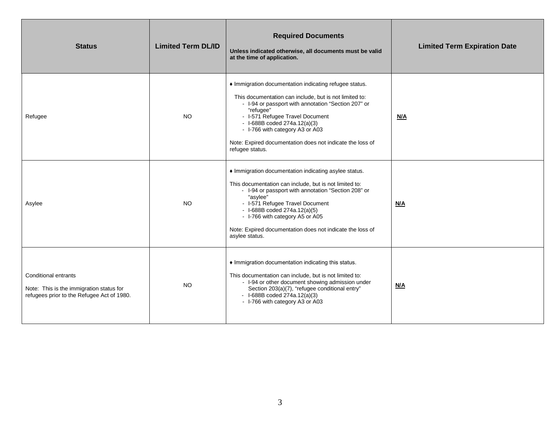| <b>Status</b>                                                                                                  | <b>Limited Term DL/ID</b> | <b>Required Documents</b><br>Unless indicated otherwise, all documents must be valid<br>at the time of application.                                                                                                                                                                                                                                                          | <b>Limited Term Expiration Date</b> |
|----------------------------------------------------------------------------------------------------------------|---------------------------|------------------------------------------------------------------------------------------------------------------------------------------------------------------------------------------------------------------------------------------------------------------------------------------------------------------------------------------------------------------------------|-------------------------------------|
| Refugee                                                                                                        | <b>NO</b>                 | • Immigration documentation indicating refugee status.<br>This documentation can include, but is not limited to:<br>- I-94 or passport with annotation "Section 207" or<br>"refugee"<br>- I-571 Refugee Travel Document<br>$-$ I-688B coded 274a.12(a)(3)<br>- I-766 with category A3 or A03<br>Note: Expired documentation does not indicate the loss of<br>refugee status. | N/A                                 |
| Asylee                                                                                                         | NO.                       | • Immigration documentation indicating asylee status.<br>This documentation can include, but is not limited to:<br>- I-94 or passport with annotation "Section 208" or<br>"asylee"<br>- I-571 Refugee Travel Document<br>- $I-688B$ coded $274a.12(a)(5)$<br>- I-766 with category A5 or A05<br>Note: Expired documentation does not indicate the loss of<br>asylee status.  | <u>N/A</u>                          |
| Conditional entrants<br>Note: This is the immigration status for<br>refugees prior to the Refugee Act of 1980. | <b>NO</b>                 | • Immigration documentation indicating this status.<br>This documentation can include, but is not limited to:<br>- I-94 or other document showing admission under<br>Section 203(a)(7), "refugee conditional entry"<br>- $I-688B$ coded $274a.12(a)(3)$<br>- I-766 with category A3 or A03                                                                                   | N/A                                 |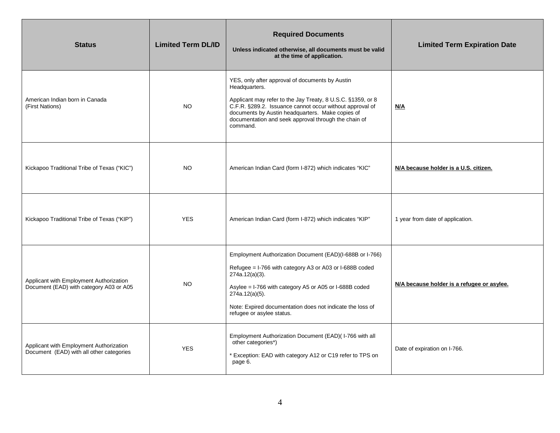| <b>Status</b>                                                                       | <b>Limited Term DL/ID</b> | <b>Required Documents</b><br>Unless indicated otherwise, all documents must be valid<br>at the time of application.                                                                                                                                                                                                 | <b>Limited Term Expiration Date</b>        |
|-------------------------------------------------------------------------------------|---------------------------|---------------------------------------------------------------------------------------------------------------------------------------------------------------------------------------------------------------------------------------------------------------------------------------------------------------------|--------------------------------------------|
| American Indian born in Canada<br>(First Nations)                                   | NO.                       | YES, only after approval of documents by Austin<br>Headquarters.<br>Applicant may refer to the Jay Treaty, 8 U.S.C. §1359, or 8<br>C.F.R. §289.2. Issuance cannot occur without approval of<br>documents by Austin headquarters. Make copies of<br>documentation and seek approval through the chain of<br>command. | N/A                                        |
| Kickapoo Traditional Tribe of Texas ("KIC")                                         | NO.                       | American Indian Card (form I-872) which indicates "KIC"                                                                                                                                                                                                                                                             | N/A because holder is a U.S. citizen.      |
| Kickapoo Traditional Tribe of Texas ("KIP")                                         | <b>YES</b>                | American Indian Card (form I-872) which indicates "KIP"                                                                                                                                                                                                                                                             | 1 year from date of application.           |
| Applicant with Employment Authorization<br>Document (EAD) with category A03 or A05  | NO                        | Employment Authorization Document (EAD)(I-688B or I-766)<br>Refugee = I-766 with category A3 or A03 or I-688B coded<br>$274a.12(a)(3)$ .<br>Asylee = I-766 with category A5 or A05 or I-688B coded<br>$274a.12(a)(5)$ .<br>Note: Expired documentation does not indicate the loss of<br>refugee or asylee status.   | N/A because holder is a refugee or asylee. |
| Applicant with Employment Authorization<br>Document (EAD) with all other categories | <b>YES</b>                | Employment Authorization Document (EAD)( I-766 with all<br>other categories*)<br>* Exception: EAD with category A12 or C19 refer to TPS on<br>page 6.                                                                                                                                                               | Date of expiration on I-766.               |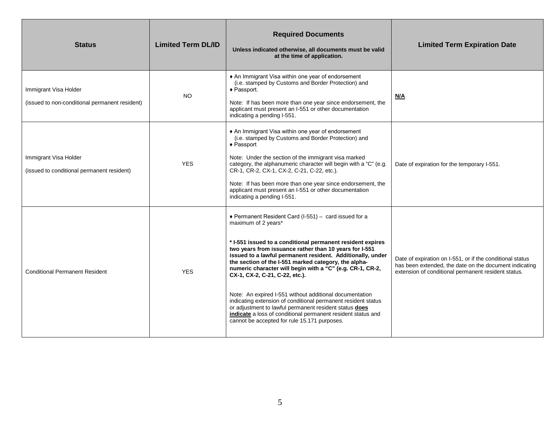| <b>Status</b>                                                           | <b>Limited Term DL/ID</b> | <b>Required Documents</b><br>Unless indicated otherwise, all documents must be valid<br>at the time of application.                                                                                                                                                                                                                                                                                                                                                                                                                                                                                                                                                                                                             | <b>Limited Term Expiration Date</b>                                                                                                                                        |
|-------------------------------------------------------------------------|---------------------------|---------------------------------------------------------------------------------------------------------------------------------------------------------------------------------------------------------------------------------------------------------------------------------------------------------------------------------------------------------------------------------------------------------------------------------------------------------------------------------------------------------------------------------------------------------------------------------------------------------------------------------------------------------------------------------------------------------------------------------|----------------------------------------------------------------------------------------------------------------------------------------------------------------------------|
| Immigrant Visa Holder<br>(issued to non-conditional permanent resident) | <b>NO</b>                 | ♦ An Immigrant Visa within one year of endorsement<br>(i.e. stamped by Customs and Border Protection) and<br>◆ Passport.<br>Note: If has been more than one year since endorsement, the<br>applicant must present an I-551 or other documentation<br>indicating a pending I-551.                                                                                                                                                                                                                                                                                                                                                                                                                                                | N/A                                                                                                                                                                        |
| Immigrant Visa Holder<br>(issued to conditional permanent resident)     | <b>YES</b>                | • An Immigrant Visa within one year of endorsement<br>(i.e. stamped by Customs and Border Protection) and<br>$\triangle$ Passport<br>Note: Under the section of the immigrant visa marked<br>category, the alphanumeric character will begin with a "C" (e.g.<br>CR-1, CR-2, CX-1, CX-2, C-21, C-22, etc.).<br>Note: If has been more than one year since endorsement, the<br>applicant must present an I-551 or other documentation<br>indicating a pending I-551.                                                                                                                                                                                                                                                             | Date of expiration for the temporary I-551.                                                                                                                                |
| <b>Conditional Permanent Resident</b>                                   | <b>YES</b>                | ◆ Permanent Resident Card (I-551) - card issued for a<br>maximum of 2 years*<br>* I-551 issued to a conditional permanent resident expires<br>two years from issuance rather than 10 years for I-551<br>issued to a lawful permanent resident. Additionally, under<br>the section of the I-551 marked category, the alpha-<br>numeric character will begin with a "C" (e.g. CR-1, CR-2,<br>CX-1, CX-2, C-21, C-22, etc.).<br>Note: An expired I-551 without additional documentation<br>indicating extension of conditional permanent resident status<br>or adjustment to lawful permanent resident status does<br>indicate a loss of conditional permanent resident status and<br>cannot be accepted for rule 15.171 purposes. | Date of expiration on I-551, or if the conditional status<br>has been extended, the date on the document indicating<br>extension of conditional permanent resident status. |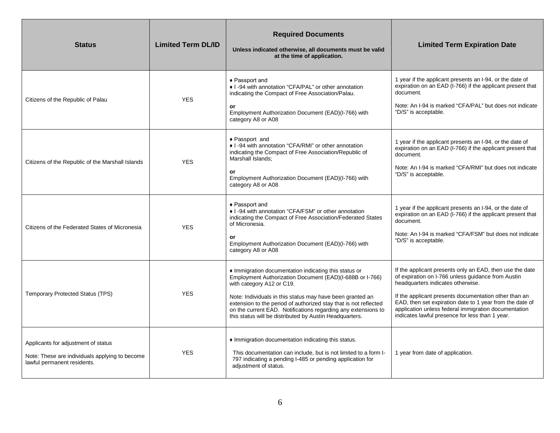| <b>Status</b>                                                                                                        | <b>Limited Term DL/ID</b> | <b>Required Documents</b><br>Unless indicated otherwise, all documents must be valid<br>at the time of application.                                                                                                                                                                                                                                                                                         | <b>Limited Term Expiration Date</b>                                                                                                                                                                                                                                                                                                                                                 |
|----------------------------------------------------------------------------------------------------------------------|---------------------------|-------------------------------------------------------------------------------------------------------------------------------------------------------------------------------------------------------------------------------------------------------------------------------------------------------------------------------------------------------------------------------------------------------------|-------------------------------------------------------------------------------------------------------------------------------------------------------------------------------------------------------------------------------------------------------------------------------------------------------------------------------------------------------------------------------------|
| Citizens of the Republic of Palau                                                                                    | <b>YES</b>                | ◆ Passport and<br>• I -94 with annotation "CFA/PAL" or other annotation<br>indicating the Compact of Free Association/Palau.<br>or<br>Employment Authorization Document (EAD)(I-766) with<br>category A8 or A08                                                                                                                                                                                             | 1 year if the applicant presents an I-94, or the date of<br>expiration on an EAD (I-766) if the applicant present that<br>document.<br>Note: An I-94 is marked "CFA/PAL" but does not indicate<br>"D/S" is acceptable.                                                                                                                                                              |
| Citizens of the Republic of the Marshall Islands                                                                     | <b>YES</b>                | ◆ Passport and<br>♦ I -94 with annotation "CFA/RMI" or other annotation<br>indicating the Compact of Free Association/Republic of<br>Marshall Islands:<br>or<br>Employment Authorization Document (EAD)(I-766) with<br>category A8 or A08                                                                                                                                                                   | 1 year if the applicant presents an I-94, or the date of<br>expiration on an EAD (I-766) if the applicant present that<br>document.<br>Note: An I-94 is marked "CFA/RMI" but does not indicate<br>"D/S" is acceptable.                                                                                                                                                              |
| Citizens of the Federated States of Micronesia                                                                       | <b>YES</b>                | ◆ Passport and<br>• I -94 with annotation "CFA/FSM" or other annotation<br>indicating the Compact of Free Association/Federated States<br>of Micronesia.<br>or<br>Employment Authorization Document (EAD)(I-766) with<br>category A8 or A08                                                                                                                                                                 | 1 year if the applicant presents an I-94, or the date of<br>expiration on an EAD (I-766) if the applicant present that<br>document.<br>Note: An I-94 is marked "CFA/FSM" but does not indicate<br>"D/S" is acceptable.                                                                                                                                                              |
| <b>Temporary Protected Status (TPS)</b>                                                                              | <b>YES</b>                | • Immigration documentation indicating this status or<br>Employment Authorization Document (EAD)(I-688B or I-766)<br>with category A12 or C19.<br>Note: Individuals in this status may have been granted an<br>extension to the period of authorized stay that is not reflected<br>on the current EAD. Notifications regarding any extensions to<br>this status will be distributed by Austin Headquarters. | If the applicant presents only an EAD, then use the date<br>of expiration on I-766 unless guidance from Austin<br>headquarters indicates otherwise.<br>If the applicant presents documentation other than an<br>EAD, then set expiration date to 1 year from the date of<br>application unless federal immigration documentation<br>indicates lawful presence for less than 1 year. |
| Applicants for adjustment of status<br>Note: These are individuals applying to become<br>lawful permanent residents. | <b>YES</b>                | • Immigration documentation indicating this status.<br>This documentation can include, but is not limited to a form I-<br>797 indicating a pending I-485 or pending application for<br>adjustment of status.                                                                                                                                                                                                | 1 year from date of application.                                                                                                                                                                                                                                                                                                                                                    |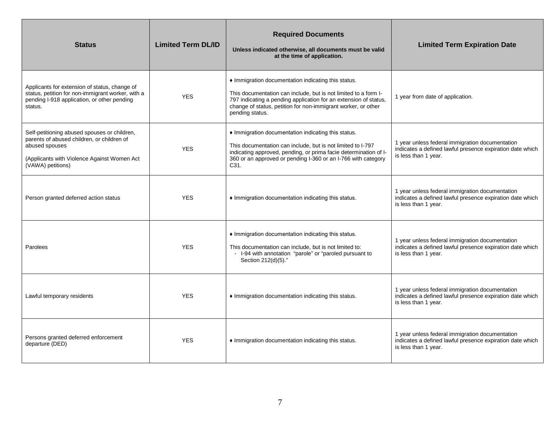| <b>Status</b>                                                                                                                                                                    | <b>Limited Term DL/ID</b> | <b>Required Documents</b><br>Unless indicated otherwise, all documents must be valid<br>at the time of application.                                                                                                                                                            | <b>Limited Term Expiration Date</b>                                                                                                  |
|----------------------------------------------------------------------------------------------------------------------------------------------------------------------------------|---------------------------|--------------------------------------------------------------------------------------------------------------------------------------------------------------------------------------------------------------------------------------------------------------------------------|--------------------------------------------------------------------------------------------------------------------------------------|
| Applicants for extension of status, change of<br>status, petition for non-immigrant worker, with a<br>pending I-918 application, or other pending<br>status.                     | <b>YES</b>                | • Immigration documentation indicating this status.<br>This documentation can include, but is not limited to a form I-<br>797 indicating a pending application for an extension of status,<br>change of status, petition for non-immigrant worker, or other<br>pending status. | 1 year from date of application.                                                                                                     |
| Self-petitioning abused spouses or children,<br>parents of abused children, or children of<br>abused spouses<br>(Applicants with Violence Against Women Act<br>(VAWA) petitions) | <b>YES</b>                | • Immigration documentation indicating this status.<br>This documentation can include, but is not limited to I-797<br>indicating approved, pending, or prima facie determination of I-<br>360 or an approved or pending I-360 or an I-766 with category<br>C <sub>31</sub> .   | 1 year unless federal immigration documentation<br>indicates a defined lawful presence expiration date which<br>is less than 1 year. |
| Person granted deferred action status                                                                                                                                            | <b>YES</b>                | • Immigration documentation indicating this status.                                                                                                                                                                                                                            | 1 year unless federal immigration documentation<br>indicates a defined lawful presence expiration date which<br>is less than 1 year. |
| Parolees                                                                                                                                                                         | <b>YES</b>                | • Immigration documentation indicating this status.<br>This documentation can include, but is not limited to:<br>- I-94 with annotation "parole" or "paroled pursuant to<br>Section 212(d)(5)."                                                                                | 1 year unless federal immigration documentation<br>indicates a defined lawful presence expiration date which<br>is less than 1 year. |
| Lawful temporary residents                                                                                                                                                       | <b>YES</b>                | • Immigration documentation indicating this status.                                                                                                                                                                                                                            | 1 year unless federal immigration documentation<br>indicates a defined lawful presence expiration date which<br>is less than 1 year. |
| Persons granted deferred enforcement<br>departure (DED)                                                                                                                          | <b>YES</b>                | • Immigration documentation indicating this status.                                                                                                                                                                                                                            | 1 year unless federal immigration documentation<br>indicates a defined lawful presence expiration date which<br>is less than 1 year. |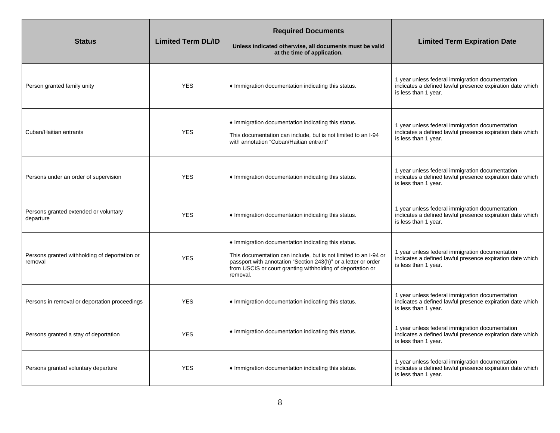| <b>Status</b>                                            | <b>Limited Term DL/ID</b> | <b>Required Documents</b><br>Unless indicated otherwise, all documents must be valid<br>at the time of application.                                                                                                                                               | <b>Limited Term Expiration Date</b>                                                                                                  |
|----------------------------------------------------------|---------------------------|-------------------------------------------------------------------------------------------------------------------------------------------------------------------------------------------------------------------------------------------------------------------|--------------------------------------------------------------------------------------------------------------------------------------|
| Person granted family unity                              | <b>YES</b>                | • Immigration documentation indicating this status.                                                                                                                                                                                                               | 1 year unless federal immigration documentation<br>indicates a defined lawful presence expiration date which<br>is less than 1 year. |
| Cuban/Haitian entrants                                   | <b>YES</b>                | Immigration documentation indicating this status.<br>This documentation can include, but is not limited to an I-94<br>with annotation "Cuban/Haitian entrant"                                                                                                     | 1 year unless federal immigration documentation<br>indicates a defined lawful presence expiration date which<br>is less than 1 year. |
| Persons under an order of supervision                    | <b>YES</b>                | • Immigration documentation indicating this status.                                                                                                                                                                                                               | 1 year unless federal immigration documentation<br>indicates a defined lawful presence expiration date which<br>is less than 1 year. |
| Persons granted extended or voluntary<br>departure       | <b>YES</b>                | • Immigration documentation indicating this status.                                                                                                                                                                                                               | 1 year unless federal immigration documentation<br>indicates a defined lawful presence expiration date which<br>is less than 1 year. |
| Persons granted withholding of deportation or<br>removal | <b>YES</b>                | Immigration documentation indicating this status.<br>This documentation can include, but is not limited to an I-94 or<br>passport with annotation "Section 243(h)" or a letter or order<br>from USCIS or court granting withholding of deportation or<br>removal. | 1 year unless federal immigration documentation<br>indicates a defined lawful presence expiration date which<br>is less than 1 year. |
| Persons in removal or deportation proceedings            | <b>YES</b>                | • Immigration documentation indicating this status.                                                                                                                                                                                                               | 1 year unless federal immigration documentation<br>indicates a defined lawful presence expiration date which<br>is less than 1 year. |
| Persons granted a stay of deportation                    | <b>YES</b>                | • Immigration documentation indicating this status.                                                                                                                                                                                                               | 1 year unless federal immigration documentation<br>indicates a defined lawful presence expiration date which<br>is less than 1 year. |
| Persons granted voluntary departure                      | <b>YES</b>                | Immigration documentation indicating this status.                                                                                                                                                                                                                 | 1 year unless federal immigration documentation<br>indicates a defined lawful presence expiration date which<br>is less than 1 year. |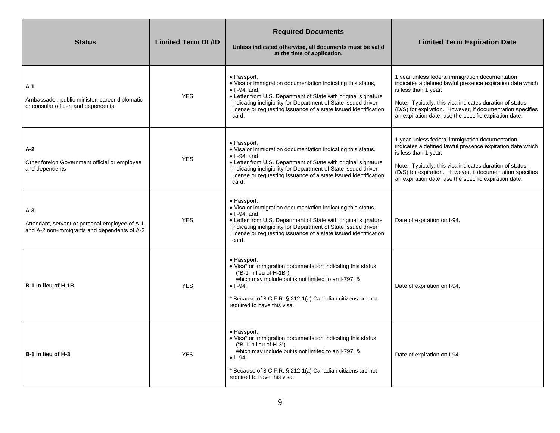| <b>Status</b>                                                                                         | <b>Limited Term DL/ID</b> | <b>Required Documents</b><br>Unless indicated otherwise, all documents must be valid<br>at the time of application.                                                                                                                                                                                                       | <b>Limited Term Expiration Date</b>                                                                                                                                                                                                                                                                                   |
|-------------------------------------------------------------------------------------------------------|---------------------------|---------------------------------------------------------------------------------------------------------------------------------------------------------------------------------------------------------------------------------------------------------------------------------------------------------------------------|-----------------------------------------------------------------------------------------------------------------------------------------------------------------------------------------------------------------------------------------------------------------------------------------------------------------------|
| A-1<br>Ambassador, public minister, career diplomatic<br>or consular officer, and dependents          | <b>YES</b>                | $\bullet$ Passport,<br>♦ Visa or Immigration documentation indicating this status,<br>$\bullet$ I-94, and<br>+ Letter from U.S. Department of State with original signature<br>indicating ineligibility for Department of State issued driver<br>license or requesting issuance of a state issued identification<br>card. | 1 year unless federal immigration documentation<br>indicates a defined lawful presence expiration date which<br>is less than 1 year.<br>Note: Typically, this visa indicates duration of status<br>(D/S) for expiration. However, if documentation specifies<br>an expiration date, use the specific expiration date. |
| A-2<br>Other foreign Government official or employee<br>and dependents                                | <b>YES</b>                | ◆ Passport.<br>♦ Visa or Immigration documentation indicating this status,<br>$\bullet$ I-94, and<br>♦ Letter from U.S. Department of State with original signature<br>indicating ineligibility for Department of State issued driver<br>license or requesting issuance of a state issued identification<br>card.         | 1 year unless federal immigration documentation<br>indicates a defined lawful presence expiration date which<br>is less than 1 year.<br>Note: Typically, this visa indicates duration of status<br>(D/S) for expiration. However, if documentation specifies<br>an expiration date, use the specific expiration date. |
| A-3<br>Attendant, servant or personal employee of A-1<br>and A-2 non-immigrants and dependents of A-3 | <b>YES</b>                | ◆ Passport,<br>♦ Visa or Immigration documentation indicating this status,<br>$\bullet$ I-94, and<br>♦ Letter from U.S. Department of State with original signature<br>indicating ineligibility for Department of State issued driver<br>license or requesting issuance of a state issued identification<br>card.         | Date of expiration on I-94.                                                                                                                                                                                                                                                                                           |
| B-1 in lieu of H-1B                                                                                   | <b>YES</b>                | ◆ Passport,<br>♦ Visa* or Immigration documentation indicating this status<br>("B-1 in lieu of H-1B")<br>which may include but is not limited to an I-797, &<br>$\bullet$   -94.<br>* Because of 8 C.F.R. § 212.1(a) Canadian citizens are not<br>required to have this visa.                                             | Date of expiration on I-94.                                                                                                                                                                                                                                                                                           |
| B-1 in lieu of H-3                                                                                    | <b>YES</b>                | ◆ Passport,<br>• Visa* or Immigration documentation indicating this status<br>("B-1 in lieu of $H-3$ ")<br>which may include but is not limited to an I-797, &<br>$\bullet$ 1 -94.<br>* Because of 8 C.F.R. § 212.1(a) Canadian citizens are not<br>required to have this visa.                                           | Date of expiration on I-94.                                                                                                                                                                                                                                                                                           |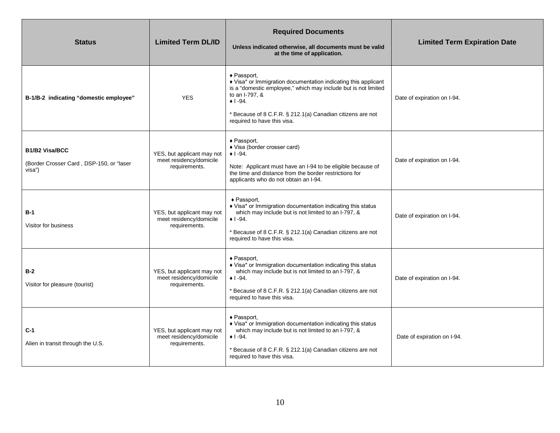| <b>Status</b>                                                               | <b>Limited Term DL/ID</b>                                              | <b>Required Documents</b><br>Unless indicated otherwise, all documents must be valid<br>at the time of application.                                                                                                                                                          | <b>Limited Term Expiration Date</b> |
|-----------------------------------------------------------------------------|------------------------------------------------------------------------|------------------------------------------------------------------------------------------------------------------------------------------------------------------------------------------------------------------------------------------------------------------------------|-------------------------------------|
| B-1/B-2 indicating "domestic employee"                                      | <b>YES</b>                                                             | ◆ Passport,<br>♦ Visa* or Immigration documentation indicating this applicant<br>is a "domestic employee," which may include but is not limited<br>to an I-797, &<br>$+1 - 94.$<br>* Because of 8 C.F.R. § 212.1(a) Canadian citizens are not<br>required to have this visa. | Date of expiration on I-94.         |
| <b>B1/B2 Visa/BCC</b><br>(Border Crosser Card, DSP-150, or "laser<br>visa") | YES, but applicant may not<br>meet residency/domicile<br>requirements. | ◆ Passport,<br>♦ Visa (border crosser card)<br>$+1 - 94.$<br>Note: Applicant must have an I-94 to be eligible because of<br>the time and distance from the border restrictions for<br>applicants who do not obtain an I-94.                                                  | Date of expiration on I-94.         |
| $B-1$<br>Visitor for business                                               | YES, but applicant may not<br>meet residency/domicile<br>requirements. | ◆ Passport,<br>♦ Visa* or Immigration documentation indicating this status<br>which may include but is not limited to an I-797, &<br>$\bullet$ 1 -94.<br>Because of 8 C.F.R. § 212.1(a) Canadian citizens are not<br>required to have this visa.                             | Date of expiration on I-94.         |
| $B-2$<br>Visitor for pleasure (tourist)                                     | YES, but applicant may not<br>meet residency/domicile<br>requirements. | ◆ Passport,<br>♦ Visa* or Immigration documentation indicating this status<br>which may include but is not limited to an I-797, &<br>$+1 - 94.$<br>Because of 8 C.F.R. § 212.1(a) Canadian citizens are not<br>required to have this visa.                                   | Date of expiration on I-94.         |
| $C-1$<br>Alien in transit through the U.S.                                  | YES, but applicant may not<br>meet residency/domicile<br>requirements. | $\triangle$ Passport,<br>♦ Visa* or Immigration documentation indicating this status<br>which may include but is not limited to an I-797, &<br>$\bullet$ 1 -94.<br>Because of 8 C.F.R. § 212.1(a) Canadian citizens are not<br>required to have this visa.                   | Date of expiration on I-94.         |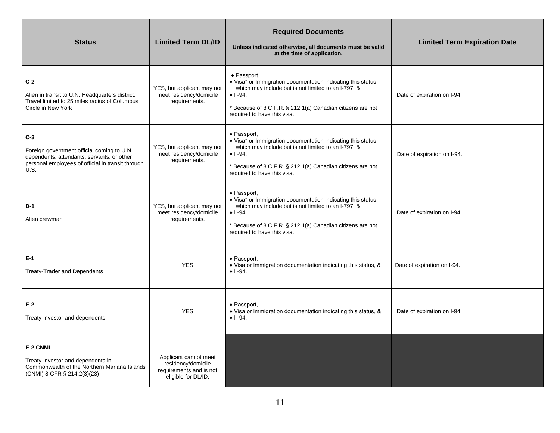| <b>Status</b>                                                                                                                                                         | <b>Limited Term DL/ID</b>                                                                     | <b>Required Documents</b><br>Unless indicated otherwise, all documents must be valid<br>at the time of application.                                                                                                                          | <b>Limited Term Expiration Date</b> |
|-----------------------------------------------------------------------------------------------------------------------------------------------------------------------|-----------------------------------------------------------------------------------------------|----------------------------------------------------------------------------------------------------------------------------------------------------------------------------------------------------------------------------------------------|-------------------------------------|
| $C-2$<br>Alien in transit to U.N. Headquarters district.<br>Travel limited to 25 miles radius of Columbus<br>Circle in New York                                       | YES, but applicant may not<br>meet residency/domicile<br>requirements.                        | ◆ Passport,<br>♦ Visa* or Immigration documentation indicating this status<br>which may include but is not limited to an I-797, &<br>$+1 - 94.$<br>* Because of 8 C.F.R. § 212.1(a) Canadian citizens are not<br>required to have this visa. | Date of expiration on I-94.         |
| $C-3$<br>Foreign government official coming to U.N.<br>dependents, attendants, servants, or other<br>personal employees of official in transit through<br><b>U.S.</b> | YES, but applicant may not<br>meet residency/domicile<br>requirements.                        | ◆ Passport.<br>♦ Visa* or Immigration documentation indicating this status<br>which may include but is not limited to an I-797, &<br>$+1 - 94.$<br>* Because of 8 C.F.R. § 212.1(a) Canadian citizens are not<br>required to have this visa. | Date of expiration on I-94.         |
| $D-1$<br>Alien crewman                                                                                                                                                | YES, but applicant may not<br>meet residency/domicile<br>requirements.                        | ◆ Passport,<br>♦ Visa* or Immigration documentation indicating this status<br>which may include but is not limited to an I-797, &<br>$+1 - 94.$<br>* Because of 8 C.F.R. § 212.1(a) Canadian citizens are not<br>required to have this visa. | Date of expiration on I-94.         |
| $E-1$<br><b>Treaty-Trader and Dependents</b>                                                                                                                          | <b>YES</b>                                                                                    | ◆ Passport,<br>♦ Visa or Immigration documentation indicating this status, &<br>$+1 - 94.$                                                                                                                                                   | Date of expiration on I-94.         |
| $E-2$<br>Treaty-investor and dependents                                                                                                                               | <b>YES</b>                                                                                    | ◆ Passport,<br>♦ Visa or Immigration documentation indicating this status, &<br>$+1 - 94.$                                                                                                                                                   | Date of expiration on I-94.         |
| E-2 CNMI<br>Treaty-investor and dependents in<br>Commonwealth of the Northern Mariana Islands<br>(CNMI) 8 CFR § 214.2(3)(23)                                          | Applicant cannot meet<br>residency/domicile<br>requirements and is not<br>eligible for DL/ID. |                                                                                                                                                                                                                                              |                                     |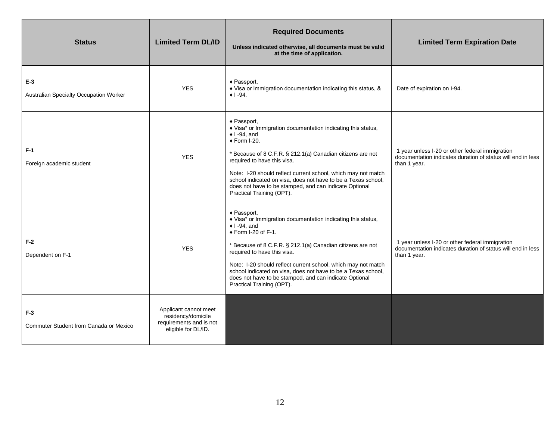| <b>Status</b>                                   | <b>Limited Term DL/ID</b>                                                                     | <b>Required Documents</b><br>Unless indicated otherwise, all documents must be valid<br>at the time of application.                                                                                                                                                                                                                                                                                                                                           | <b>Limited Term Expiration Date</b>                                                                                            |
|-------------------------------------------------|-----------------------------------------------------------------------------------------------|---------------------------------------------------------------------------------------------------------------------------------------------------------------------------------------------------------------------------------------------------------------------------------------------------------------------------------------------------------------------------------------------------------------------------------------------------------------|--------------------------------------------------------------------------------------------------------------------------------|
| $E-3$<br>Australian Specialty Occupation Worker | <b>YES</b>                                                                                    | ◆ Passport,<br>♦ Visa or Immigration documentation indicating this status, &<br>$+1 - 94.$                                                                                                                                                                                                                                                                                                                                                                    | Date of expiration on I-94.                                                                                                    |
| $F-1$<br>Foreign academic student               | <b>YES</b>                                                                                    | $\triangle$ Passport,<br>♦ Visa* or Immigration documentation indicating this status,<br>$\bullet$ I -94, and<br>$\triangle$ Form I-20.<br>* Because of 8 C.F.R. § 212.1(a) Canadian citizens are not<br>required to have this visa.<br>Note: I-20 should reflect current school, which may not match<br>school indicated on visa, does not have to be a Texas school,<br>does not have to be stamped, and can indicate Optional<br>Practical Training (OPT). | 1 year unless I-20 or other federal immigration<br>documentation indicates duration of status will end in less<br>than 1 year. |
| $F-2$<br>Dependent on F-1                       | <b>YES</b>                                                                                    | ◆ Passport,<br>♦ Visa* or Immigration documentation indicating this status,<br>$\bullet$ I -94, and<br>$\bullet$ Form I-20 of F-1.<br>* Because of 8 C.F.R. § 212.1(a) Canadian citizens are not<br>required to have this visa.<br>Note: I-20 should reflect current school, which may not match<br>school indicated on visa, does not have to be a Texas school,<br>does not have to be stamped, and can indicate Optional<br>Practical Training (OPT).      | 1 year unless I-20 or other federal immigration<br>documentation indicates duration of status will end in less<br>than 1 year. |
| $F-3$<br>Commuter Student from Canada or Mexico | Applicant cannot meet<br>residency/domicile<br>requirements and is not<br>eligible for DL/ID. |                                                                                                                                                                                                                                                                                                                                                                                                                                                               |                                                                                                                                |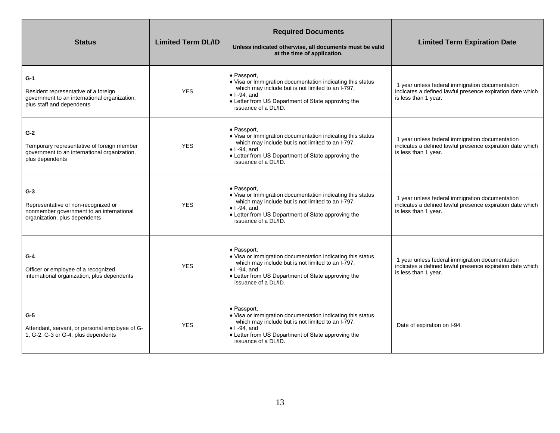| <b>Status</b>                                                                                                              | <b>Limited Term DL/ID</b> | <b>Required Documents</b><br>Unless indicated otherwise, all documents must be valid<br>at the time of application.                                                                                                                  | <b>Limited Term Expiration Date</b>                                                                                                  |
|----------------------------------------------------------------------------------------------------------------------------|---------------------------|--------------------------------------------------------------------------------------------------------------------------------------------------------------------------------------------------------------------------------------|--------------------------------------------------------------------------------------------------------------------------------------|
| $G-1$<br>Resident representative of a foreign<br>government to an international organization,<br>plus staff and dependents | <b>YES</b>                | ◆ Passport,<br>♦ Visa or Immigration documentation indicating this status<br>which may include but is not limited to an I-797,<br>$\bullet$ I -94, and<br>♦ Letter from US Department of State approving the<br>issuance of a DL/ID. | 1 year unless federal immigration documentation<br>indicates a defined lawful presence expiration date which<br>is less than 1 year. |
| $G-2$<br>Temporary representative of foreign member<br>government to an international organization,<br>plus dependents     | <b>YES</b>                | ◆ Passport,<br>♦ Visa or Immigration documentation indicating this status<br>which may include but is not limited to an I-797,<br>$\bullet$ I-94. and<br>+ Letter from US Department of State approving the<br>issuance of a DL/ID.  | 1 year unless federal immigration documentation<br>indicates a defined lawful presence expiration date which<br>is less than 1 year. |
| $G-3$<br>Representative of non-recognized or<br>nonmember government to an international<br>organization, plus dependents  | <b>YES</b>                | ◆ Passport,<br>♦ Visa or Immigration documentation indicating this status<br>which may include but is not limited to an I-797,<br>$\bullet$ I-94, and<br>+ Letter from US Department of State approving the<br>issuance of a DL/ID.  | 1 year unless federal immigration documentation<br>indicates a defined lawful presence expiration date which<br>is less than 1 year. |
| $G-4$<br>Officer or employee of a recognized<br>international organization, plus dependents                                | <b>YES</b>                | ◆ Passport,<br>♦ Visa or Immigration documentation indicating this status<br>which may include but is not limited to an I-797,<br>$\bullet$ I-94, and<br>♦ Letter from US Department of State approving the<br>issuance of a DL/ID.  | 1 year unless federal immigration documentation<br>indicates a defined lawful presence expiration date which<br>is less than 1 year. |
| $G-5$<br>Attendant, servant, or personal employee of G-<br>1, G-2, G-3 or G-4, plus dependents                             | <b>YES</b>                | ◆ Passport.<br>♦ Visa or Immigration documentation indicating this status<br>which may include but is not limited to an I-797,<br>$\bullet$ I-94, and<br>♦ Letter from US Department of State approving the<br>issuance of a DL/ID.  | Date of expiration on I-94.                                                                                                          |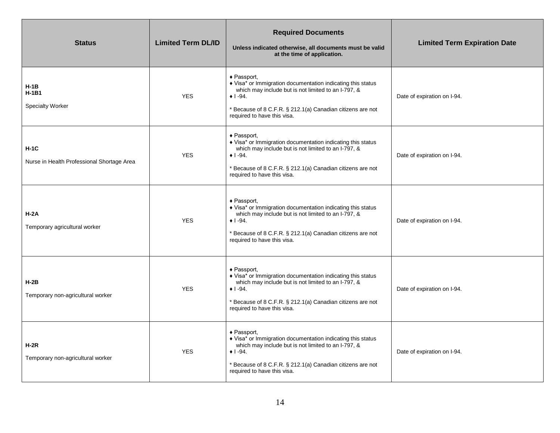| <b>Status</b>                                        | <b>Limited Term DL/ID</b> | <b>Required Documents</b><br>Unless indicated otherwise, all documents must be valid<br>at the time of application.                                                                                                                                          | <b>Limited Term Expiration Date</b> |
|------------------------------------------------------|---------------------------|--------------------------------------------------------------------------------------------------------------------------------------------------------------------------------------------------------------------------------------------------------------|-------------------------------------|
| H-1B<br>$H-1B1$<br><b>Specialty Worker</b>           | <b>YES</b>                | ◆ Passport,<br>♦ Visa* or Immigration documentation indicating this status<br>which may include but is not limited to an I-797, &<br>$\bullet$ 1 -94.<br>* Because of 8 C.F.R. § 212.1(a) Canadian citizens are not<br>required to have this visa.           | Date of expiration on I-94.         |
| $H-1C$<br>Nurse in Health Professional Shortage Area | <b>YES</b>                | $\triangle$ Passport,<br>♦ Visa* or Immigration documentation indicating this status<br>which may include but is not limited to an I-797, &<br>$\bullet$ 1 -94.<br>* Because of 8 C.F.R. § 212.1(a) Canadian citizens are not<br>required to have this visa. | Date of expiration on I-94.         |
| $H-2A$<br>Temporary agricultural worker              | <b>YES</b>                | $\triangle$ Passport,<br>♦ Visa* or Immigration documentation indicating this status<br>which may include but is not limited to an I-797, &<br>$\bullet$ 1 -94.<br>* Because of 8 C.F.R. § 212.1(a) Canadian citizens are not<br>required to have this visa. | Date of expiration on I-94.         |
| $H-2B$<br>Temporary non-agricultural worker          | <b>YES</b>                | $\triangle$ Passport,<br>• Visa* or Immigration documentation indicating this status<br>which may include but is not limited to an I-797, &<br>$+1 - 94.$<br>* Because of 8 C.F.R. § 212.1(a) Canadian citizens are not<br>required to have this visa.       | Date of expiration on I-94.         |
| $H-2R$<br>Temporary non-agricultural worker          | <b>YES</b>                | $\triangle$ Passport,<br>• Visa* or Immigration documentation indicating this status<br>which may include but is not limited to an I-797, &<br>$+1 - 94.$<br>* Because of 8 C.F.R. § 212.1(a) Canadian citizens are not<br>required to have this visa.       | Date of expiration on I-94.         |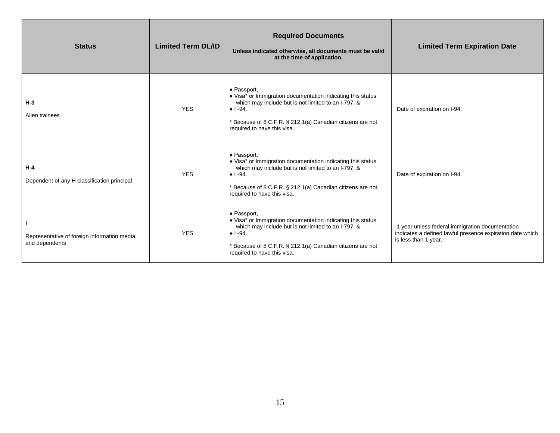| <b>Status</b>                                                  | <b>Limited Term DL/ID</b> | <b>Required Documents</b><br>Unless indicated otherwise, all documents must be valid<br>at the time of application.                                                                                                                                | <b>Limited Term Expiration Date</b>                                                                                                  |
|----------------------------------------------------------------|---------------------------|----------------------------------------------------------------------------------------------------------------------------------------------------------------------------------------------------------------------------------------------------|--------------------------------------------------------------------------------------------------------------------------------------|
| $H-3$<br>Alien trainees                                        | <b>YES</b>                | ◆ Passport,<br>♦ Visa* or Immigration documentation indicating this status<br>which may include but is not limited to an I-797, &<br>$+1 - 94.$<br>* Because of 8 C.F.R. § 212.1(a) Canadian citizens are not<br>required to have this visa.       | Date of expiration on I-94.                                                                                                          |
| $H - 4$<br>Dependent of any H classification principal         | <b>YES</b>                | ◆ Passport,<br>♦ Visa* or Immigration documentation indicating this status<br>which may include but is not limited to an I-797, &<br>$\bullet$ 1 -94.<br>* Because of 8 C.F.R. § 212.1(a) Canadian citizens are not<br>required to have this visa. | Date of expiration on I-94.                                                                                                          |
| Representative of foreign information media,<br>and dependents | <b>YES</b>                | ◆ Passport,<br>♦ Visa* or Immigration documentation indicating this status<br>which may include but is not limited to an I-797, &<br>$\bullet$ 1 -94.<br>* Because of 8 C.F.R. § 212.1(a) Canadian citizens are not<br>required to have this visa. | 1 year unless federal immigration documentation<br>indicates a defined lawful presence expiration date which<br>is less than 1 year. |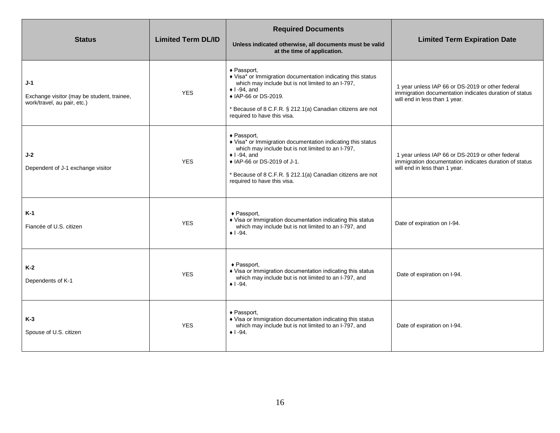| <b>Status</b>                                                                      | <b>Limited Term DL/ID</b> | <b>Required Documents</b><br>Unless indicated otherwise, all documents must be valid<br>at the time of application.                                                                                                                                                                | <b>Limited Term Expiration Date</b>                                                                                                         |
|------------------------------------------------------------------------------------|---------------------------|------------------------------------------------------------------------------------------------------------------------------------------------------------------------------------------------------------------------------------------------------------------------------------|---------------------------------------------------------------------------------------------------------------------------------------------|
| $J-1$<br>Exchange visitor (may be student, trainee,<br>work/travel, au pair, etc.) | <b>YES</b>                | ◆ Passport,<br>♦ Visa* or Immigration documentation indicating this status<br>which may include but is not limited to an I-797,<br>$\bullet$ I-94, and<br>◆ IAP-66 or DS-2019.<br>* Because of 8 C.F.R. § 212.1(a) Canadian citizens are not<br>required to have this visa.        | 1 year unless IAP 66 or DS-2019 or other federal<br>immigration documentation indicates duration of status<br>will end in less than 1 year. |
| $J-2$<br>Dependent of J-1 exchange visitor                                         | <b>YES</b>                | ◆ Passport,<br>♦ Visa* or Immigration documentation indicating this status<br>which may include but is not limited to an I-797,<br>$\bullet$ I-94, and<br>◆ IAP-66 or DS-2019 of J-1.<br>* Because of 8 C.F.R. § 212.1(a) Canadian citizens are not<br>required to have this visa. | 1 year unless IAP 66 or DS-2019 or other federal<br>immigration documentation indicates duration of status<br>will end in less than 1 year. |
| K-1<br>Fiancée of U.S. citizen                                                     | <b>YES</b>                | $\triangle$ Passport,<br>♦ Visa or Immigration documentation indicating this status<br>which may include but is not limited to an I-797, and<br>$\bullet$ 1 -94.                                                                                                                   | Date of expiration on I-94.                                                                                                                 |
| $K-2$<br>Dependents of K-1                                                         | <b>YES</b>                | ◆ Passport,<br>♦ Visa or Immigration documentation indicating this status<br>which may include but is not limited to an I-797, and<br>$+1 - 94$ .                                                                                                                                  | Date of expiration on I-94.                                                                                                                 |
| $K-3$<br>Spouse of U.S. citizen                                                    | <b>YES</b>                | ◆ Passport,<br>♦ Visa or Immigration documentation indicating this status<br>which may include but is not limited to an I-797, and<br>$+ 1 - 94.$                                                                                                                                  | Date of expiration on I-94.                                                                                                                 |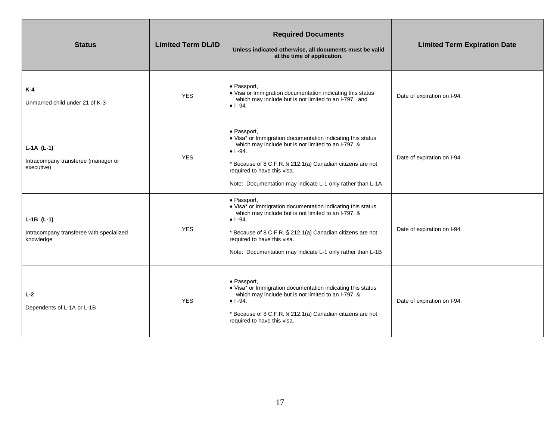| <b>Status</b>                                                         | <b>Limited Term DL/ID</b> | <b>Required Documents</b><br>Unless indicated otherwise, all documents must be valid<br>at the time of application.                                                                                                                                                                                              | <b>Limited Term Expiration Date</b> |
|-----------------------------------------------------------------------|---------------------------|------------------------------------------------------------------------------------------------------------------------------------------------------------------------------------------------------------------------------------------------------------------------------------------------------------------|-------------------------------------|
| $K-4$<br>Unmarried child under 21 of K-3                              | <b>YES</b>                | ◆ Passport,<br>♦ Visa or Immigration documentation indicating this status<br>which may include but is not limited to an I-797, and<br>$+1 - 94.$                                                                                                                                                                 | Date of expiration on I-94.         |
| $L-1A (L-1)$<br>Intracompany transferee (manager or<br>executive)     | <b>YES</b>                | ◆ Passport,<br>♦ Visa* or Immigration documentation indicating this status<br>which may include but is not limited to an I-797, &<br>$\bullet$ 1 -94.<br>* Because of 8 C.F.R. § 212.1(a) Canadian citizens are not<br>required to have this visa.<br>Note: Documentation may indicate L-1 only rather than L-1A | Date of expiration on I-94.         |
| $L-1B$ (L-1)<br>Intracompany transferee with specialized<br>knowledge | <b>YES</b>                | ◆ Passport.<br>♦ Visa* or Immigration documentation indicating this status<br>which may include but is not limited to an I-797, &<br>$+1 - 94.$<br>* Because of 8 C.F.R. § 212.1(a) Canadian citizens are not<br>required to have this visa.<br>Note: Documentation may indicate L-1 only rather than L-1B       | Date of expiration on I-94.         |
| $L-2$<br>Dependents of L-1A or L-1B                                   | <b>YES</b>                | $\triangle$ Passport,<br>♦ Visa* or Immigration documentation indicating this status<br>which may include but is not limited to an I-797, &<br>$\bullet$ 1 -94.<br>* Because of 8 C.F.R. § 212.1(a) Canadian citizens are not<br>required to have this visa.                                                     | Date of expiration on I-94.         |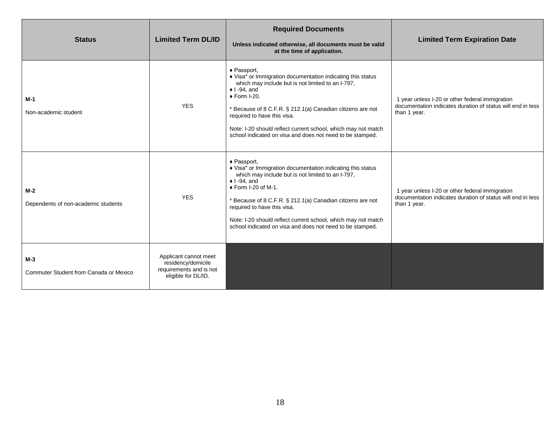| <b>Status</b>                                   | <b>Limited Term DL/ID</b>                                                                     | <b>Required Documents</b><br>Unless indicated otherwise, all documents must be valid<br>at the time of application.                                                                                                                                                                                                                                                                                                 | <b>Limited Term Expiration Date</b>                                                                                            |
|-------------------------------------------------|-----------------------------------------------------------------------------------------------|---------------------------------------------------------------------------------------------------------------------------------------------------------------------------------------------------------------------------------------------------------------------------------------------------------------------------------------------------------------------------------------------------------------------|--------------------------------------------------------------------------------------------------------------------------------|
| $M-1$<br>Non-academic student                   | <b>YES</b>                                                                                    | ◆ Passport,<br>♦ Visa* or Immigration documentation indicating this status<br>which may include but is not limited to an I-797,<br>$\bullet$ I -94, and<br>◆ Form I-20.<br>* Because of 8 C.F.R. § 212.1(a) Canadian citizens are not<br>required to have this visa.<br>Note: I-20 should reflect current school, which may not match<br>school indicated on visa and does not need to be stamped.                  | 1 year unless I-20 or other federal immigration<br>documentation indicates duration of status will end in less<br>than 1 year. |
| $M-2$<br>Dependents of non-academic students    | <b>YES</b>                                                                                    | ◆ Passport,<br>♦ Visa* or Immigration documentation indicating this status<br>which may include but is not limited to an I-797,<br>$\bullet$ I -94, and<br>$\triangle$ Form I-20 of M-1.<br>* Because of 8 C.F.R. § 212.1(a) Canadian citizens are not<br>required to have this visa.<br>Note: I-20 should reflect current school, which may not match<br>school indicated on visa and does not need to be stamped. | 1 year unless I-20 or other federal immigration<br>documentation indicates duration of status will end in less<br>than 1 year. |
| $M-3$<br>Commuter Student from Canada or Mexico | Applicant cannot meet<br>residency/domicile<br>requirements and is not<br>eligible for DL/ID. |                                                                                                                                                                                                                                                                                                                                                                                                                     |                                                                                                                                |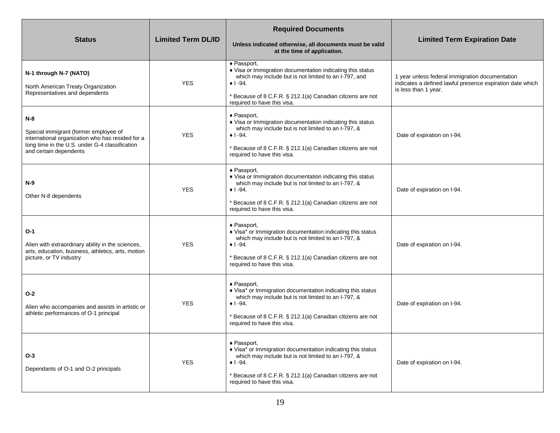| <b>Status</b>                                                                                                                                                                  | <b>Limited Term DL/ID</b> | <b>Required Documents</b><br>Unless indicated otherwise, all documents must be valid<br>at the time of application.                                                                                                                                         | <b>Limited Term Expiration Date</b>                                                                                                  |
|--------------------------------------------------------------------------------------------------------------------------------------------------------------------------------|---------------------------|-------------------------------------------------------------------------------------------------------------------------------------------------------------------------------------------------------------------------------------------------------------|--------------------------------------------------------------------------------------------------------------------------------------|
| N-1 through N-7 (NATO)<br>North American Treaty Organization<br>Representatives and dependents                                                                                 | <b>YES</b>                | ◆ Passport,<br>♦ Visa or Immigration documentation indicating this status<br>which may include but is not limited to an I-797, and<br>$\bullet$ 1 -94.<br>Because of 8 C.F.R. § 212.1(a) Canadian citizens are not<br>required to have this visa.           | 1 year unless federal immigration documentation<br>indicates a defined lawful presence expiration date which<br>is less than 1 year. |
| $N-8$<br>Special immigrant (former employee of<br>international organization who has resided for a<br>long time in the U.S. under G-4 classification<br>and certain dependents | <b>YES</b>                | $\triangle$ Passport,<br>♦ Visa or Immigration documentation indicating this status<br>which may include but is not limited to an I-797, &<br>$\bullet$ 1 -94.<br>* Because of 8 C.F.R. § 212.1(a) Canadian citizens are not<br>required to have this visa. | Date of expiration on I-94.                                                                                                          |
| $N-9$<br>Other N-8 dependents                                                                                                                                                  | <b>YES</b>                | ◆ Passport,<br>♦ Visa or Immigration documentation indicating this status<br>which may include but is not limited to an I-797, &<br>$\bullet$ 1 -94.<br>Because of 8 C.F.R. § 212.1(a) Canadian citizens are not<br>required to have this visa.             | Date of expiration on I-94.                                                                                                          |
| $O-1$<br>Alien with extraordinary ability in the sciences,<br>arts, education, business, athletics, arts, motion<br>picture, or TV industry                                    | <b>YES</b>                | ◆ Passport,<br>♦ Visa* or Immigration documentation indicating this status<br>which may include but is not limited to an I-797, &<br>$\bullet$ 1 -94.<br>Because of 8 C.F.R. § 212.1(a) Canadian citizens are not<br>required to have this visa.            | Date of expiration on I-94.                                                                                                          |
| $O-2$<br>Alien who accompanies and assists in artistic or<br>athletic performances of O-1 principal                                                                            | <b>YES</b>                | ◆ Passport,<br>♦ Visa* or Immigration documentation indicating this status<br>which may include but is not limited to an I-797, &<br>$\bullet$ 1 -94.<br>Because of 8 C.F.R. § 212.1(a) Canadian citizens are not<br>required to have this visa.            | Date of expiration on I-94.                                                                                                          |
| $O-3$<br>Dependants of O-1 and O-2 principals                                                                                                                                  | <b>YES</b>                | ◆ Passport,<br>♦ Visa* or Immigration documentation indicating this status<br>which may include but is not limited to an I-797, &<br>$\bullet$ 1 -94.<br>Because of 8 C.F.R. § 212.1(a) Canadian citizens are not<br>required to have this visa.            | Date of expiration on I-94.                                                                                                          |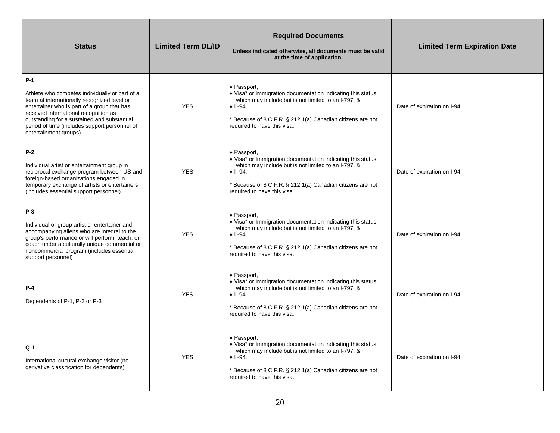| <b>Status</b>                                                                                                                                                                                                                                                                                                           | <b>Limited Term DL/ID</b> | <b>Required Documents</b><br>Unless indicated otherwise, all documents must be valid<br>at the time of application.                                                                                                                                          | <b>Limited Term Expiration Date</b> |
|-------------------------------------------------------------------------------------------------------------------------------------------------------------------------------------------------------------------------------------------------------------------------------------------------------------------------|---------------------------|--------------------------------------------------------------------------------------------------------------------------------------------------------------------------------------------------------------------------------------------------------------|-------------------------------------|
| $P-1$<br>Athlete who competes individually or part of a<br>team at internationally recognized level or<br>entertainer who is part of a group that has<br>received international recognition as<br>outstanding for a sustained and substantial<br>period of time (includes support personnel of<br>entertainment groups) | <b>YES</b>                | ◆ Passport,<br>♦ Visa* or Immigration documentation indicating this status<br>which may include but is not limited to an I-797, &<br>$\bullet$ 1 -94.<br>* Because of 8 C.F.R. § 212.1(a) Canadian citizens are not<br>required to have this visa.           | Date of expiration on I-94.         |
| $P-2$<br>Individual artist or entertainment group in<br>reciprocal exchange program between US and<br>foreign-based organizations engaged in<br>temporary exchange of artists or entertainers<br>(includes essential support personnel)                                                                                 | <b>YES</b>                | $\triangle$ Passport,<br>♦ Visa* or Immigration documentation indicating this status<br>which may include but is not limited to an I-797, &<br>$\bullet$ 1 -94.<br>* Because of 8 C.F.R. § 212.1(a) Canadian citizens are not<br>required to have this visa. | Date of expiration on I-94.         |
| $P-3$<br>Individual or group artist or entertainer and<br>accompanying aliens who are integral to the<br>group's performance or will perform, teach, or<br>coach under a culturally unique commercial or<br>noncommercial program (includes essential<br>support personnel)                                             | <b>YES</b>                | $\triangle$ Passport,<br>♦ Visa* or Immigration documentation indicating this status<br>which may include but is not limited to an I-797, &<br>$+1 - 94.$<br>* Because of 8 C.F.R. § 212.1(a) Canadian citizens are not<br>required to have this visa.       | Date of expiration on I-94.         |
| $P-4$<br>Dependents of P-1, P-2 or P-3                                                                                                                                                                                                                                                                                  | <b>YES</b>                | $\triangle$ Passport,<br>♦ Visa* or Immigration documentation indicating this status<br>which may include but is not limited to an I-797, &<br>$+1 - 94.$<br>* Because of 8 C.F.R. § 212.1(a) Canadian citizens are not<br>required to have this visa.       | Date of expiration on I-94.         |
| Q-1<br>International cultural exchange visitor (no<br>derivative classification for dependents)                                                                                                                                                                                                                         | <b>YES</b>                | ◆ Passport,<br>♦ Visa* or Immigration documentation indicating this status<br>which may include but is not limited to an I-797, &<br>$\bullet$ 1 -94.<br>* Because of 8 C.F.R. § 212.1(a) Canadian citizens are not<br>required to have this visa.           | Date of expiration on I-94.         |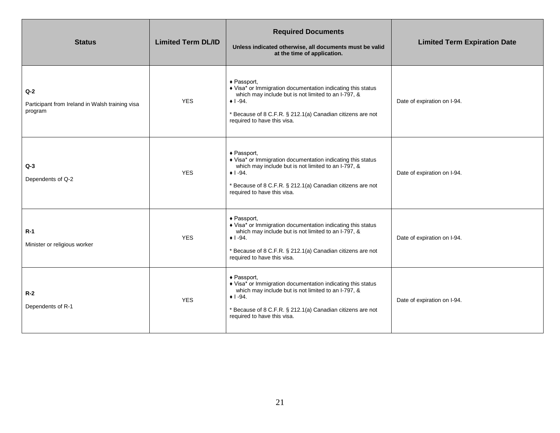| <b>Status</b>                                                       | <b>Limited Term DL/ID</b> | <b>Required Documents</b><br>Unless indicated otherwise, all documents must be valid<br>at the time of application.                                                                                                                                | <b>Limited Term Expiration Date</b> |
|---------------------------------------------------------------------|---------------------------|----------------------------------------------------------------------------------------------------------------------------------------------------------------------------------------------------------------------------------------------------|-------------------------------------|
| $Q-2$<br>Participant from Ireland in Walsh training visa<br>program | <b>YES</b>                | ◆ Passport,<br>♦ Visa* or Immigration documentation indicating this status<br>which may include but is not limited to an I-797, &<br>$\bullet$ 1 -94.<br>* Because of 8 C.F.R. § 212.1(a) Canadian citizens are not<br>required to have this visa. | Date of expiration on I-94.         |
| $Q-3$<br>Dependents of Q-2                                          | <b>YES</b>                | ◆ Passport,<br>♦ Visa* or Immigration documentation indicating this status<br>which may include but is not limited to an I-797, &<br>$+1 - 94.$<br>* Because of 8 C.F.R. § 212.1(a) Canadian citizens are not<br>required to have this visa.       | Date of expiration on I-94.         |
| $R-1$<br>Minister or religious worker                               | <b>YES</b>                | ◆ Passport,<br>♦ Visa* or Immigration documentation indicating this status<br>which may include but is not limited to an I-797, &<br>$+1 - 94.$<br>* Because of 8 C.F.R. § 212.1(a) Canadian citizens are not<br>required to have this visa.       | Date of expiration on I-94.         |
| $R-2$<br>Dependents of R-1                                          | <b>YES</b>                | ◆ Passport,<br>♦ Visa* or Immigration documentation indicating this status<br>which may include but is not limited to an I-797, &<br>$+1 - 94.$<br>* Because of 8 C.F.R. § 212.1(a) Canadian citizens are not<br>required to have this visa.       | Date of expiration on I-94.         |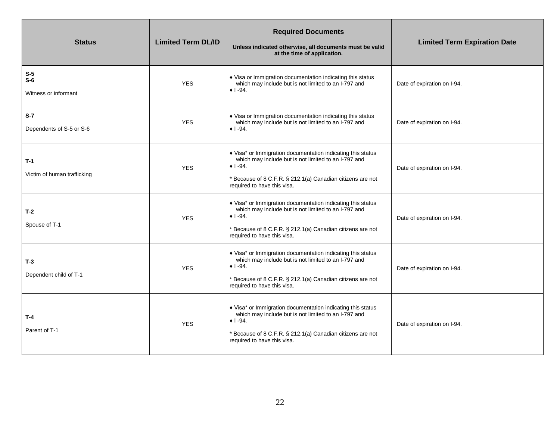| <b>Status</b>                          | <b>Limited Term DL/ID</b> | <b>Required Documents</b><br>Unless indicated otherwise, all documents must be valid<br>at the time of application.                                                                                                                  | <b>Limited Term Expiration Date</b> |
|----------------------------------------|---------------------------|--------------------------------------------------------------------------------------------------------------------------------------------------------------------------------------------------------------------------------------|-------------------------------------|
| $S-5$<br>$S-6$<br>Witness or informant | <b>YES</b>                | ♦ Visa or Immigration documentation indicating this status<br>which may include but is not limited to an I-797 and<br>$\bullet$ 1 -94.                                                                                               | Date of expiration on I-94.         |
| $S-7$<br>Dependents of S-5 or S-6      | <b>YES</b>                | • Visa or Immigration documentation indicating this status<br>which may include but is not limited to an I-797 and<br>$+1 - 94.$                                                                                                     | Date of expiration on I-94.         |
| $T-1$<br>Victim of human trafficking   | <b>YES</b>                | ♦ Visa* or Immigration documentation indicating this status<br>which may include but is not limited to an I-797 and<br>$\bullet$ 1 -94.<br>* Because of 8 C.F.R. § 212.1(a) Canadian citizens are not<br>required to have this visa. | Date of expiration on I-94.         |
| $T-2$<br>Spouse of T-1                 | <b>YES</b>                | • Visa* or Immigration documentation indicating this status<br>which may include but is not limited to an I-797 and<br>$+1 - 94.$<br>* Because of 8 C.F.R. § 212.1(a) Canadian citizens are not<br>required to have this visa.       | Date of expiration on I-94.         |
| $T-3$<br>Dependent child of T-1        | <b>YES</b>                | ♦ Visa* or Immigration documentation indicating this status<br>which may include but is not limited to an I-797 and<br>$\bullet$ 1 -94.<br>* Because of 8 C.F.R. § 212.1(a) Canadian citizens are not<br>required to have this visa. | Date of expiration on I-94.         |
| $T-4$<br>Parent of T-1                 | <b>YES</b>                | ♦ Visa* or Immigration documentation indicating this status<br>which may include but is not limited to an I-797 and<br>$+1 - 94.$<br>* Because of 8 C.F.R. § 212.1(a) Canadian citizens are not<br>required to have this visa.       | Date of expiration on I-94.         |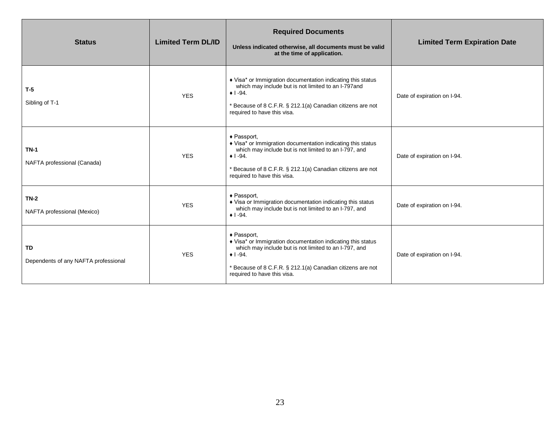| <b>Status</b>                              | <b>Limited Term DL/ID</b> | <b>Required Documents</b><br>Unless indicated otherwise, all documents must be valid<br>at the time of application.                                                                                                                            | <b>Limited Term Expiration Date</b> |
|--------------------------------------------|---------------------------|------------------------------------------------------------------------------------------------------------------------------------------------------------------------------------------------------------------------------------------------|-------------------------------------|
| $T-5$<br>Sibling of T-1                    | <b>YES</b>                | ♦ Visa* or Immigration documentation indicating this status<br>which may include but is not limited to an I-797and<br>$\bullet$ 1 -94.<br>* Because of 8 C.F.R. § 212.1(a) Canadian citizens are not<br>required to have this visa.            | Date of expiration on I-94.         |
| $TN-1$<br>NAFTA professional (Canada)      | <b>YES</b>                | ◆ Passport,<br>♦ Visa* or Immigration documentation indicating this status<br>which may include but is not limited to an I-797, and<br>$+1 - 94.$<br>* Because of 8 C.F.R. § 212.1(a) Canadian citizens are not<br>required to have this visa. | Date of expiration on I-94.         |
| $TN-2$<br>NAFTA professional (Mexico)      | <b>YES</b>                | ◆ Passport,<br>• Visa or Immigration documentation indicating this status<br>which may include but is not limited to an I-797, and<br>$+1 - 94.$                                                                                               | Date of expiration on I-94.         |
| TD<br>Dependents of any NAFTA professional | <b>YES</b>                | ◆ Passport,<br>♦ Visa* or Immigration documentation indicating this status<br>which may include but is not limited to an I-797, and<br>$+1 - 94.$<br>* Because of 8 C.F.R. § 212.1(a) Canadian citizens are not<br>required to have this visa. | Date of expiration on I-94.         |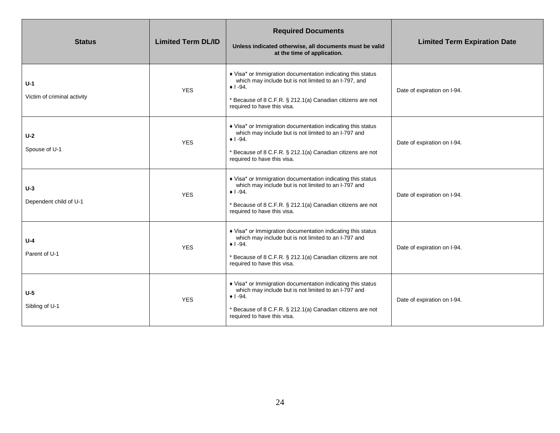| <b>Status</b>                        | <b>Limited Term DL/ID</b> | <b>Required Documents</b><br>Unless indicated otherwise, all documents must be valid<br>at the time of application.                                                                                                                  | <b>Limited Term Expiration Date</b> |
|--------------------------------------|---------------------------|--------------------------------------------------------------------------------------------------------------------------------------------------------------------------------------------------------------------------------------|-------------------------------------|
| $U-1$<br>Victim of criminal activity | <b>YES</b>                | ♦ Visa* or Immigration documentation indicating this status<br>which may include but is not limited to an I-797, and<br>$+1 - 94.$<br>* Because of 8 C.F.R. § 212.1(a) Canadian citizens are not<br>required to have this visa.      | Date of expiration on I-94.         |
| $U-2$<br>Spouse of U-1               | <b>YES</b>                | ♦ Visa* or Immigration documentation indicating this status<br>which may include but is not limited to an I-797 and<br>$\bullet$ 1 -94.<br>* Because of 8 C.F.R. § 212.1(a) Canadian citizens are not<br>required to have this visa. | Date of expiration on I-94.         |
| $U-3$<br>Dependent child of U-1      | <b>YES</b>                | ♦ Visa* or Immigration documentation indicating this status<br>which may include but is not limited to an I-797 and<br>$\bullet$ 1 -94.<br>* Because of 8 C.F.R. § 212.1(a) Canadian citizens are not<br>required to have this visa. | Date of expiration on I-94.         |
| $U - 4$<br>Parent of U-1             | <b>YES</b>                | ♦ Visa* or Immigration documentation indicating this status<br>which may include but is not limited to an I-797 and<br>$+1 - 94.$<br>* Because of 8 C.F.R. § 212.1(a) Canadian citizens are not<br>required to have this visa.       | Date of expiration on I-94.         |
| $U-5$<br>Sibling of U-1              | <b>YES</b>                | ♦ Visa* or Immigration documentation indicating this status<br>which may include but is not limited to an I-797 and<br>$+1 - 94.$<br>* Because of 8 C.F.R. § 212.1(a) Canadian citizens are not<br>required to have this visa.       | Date of expiration on I-94.         |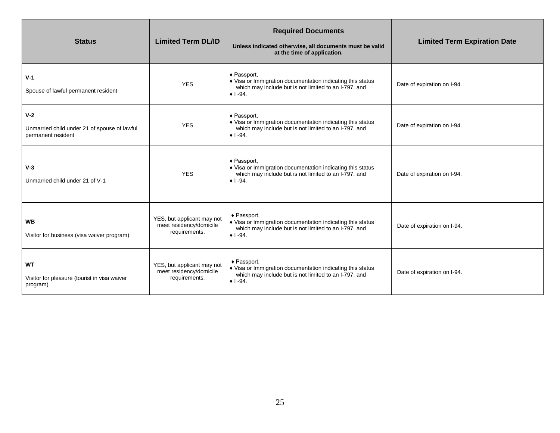| <b>Status</b>                                                               | <b>Limited Term DL/ID</b>                                              | <b>Required Documents</b><br>Unless indicated otherwise, all documents must be valid<br>at the time of application.                                    | <b>Limited Term Expiration Date</b> |
|-----------------------------------------------------------------------------|------------------------------------------------------------------------|--------------------------------------------------------------------------------------------------------------------------------------------------------|-------------------------------------|
| $V-1$<br>Spouse of lawful permanent resident                                | <b>YES</b>                                                             | ◆ Passport,<br>♦ Visa or Immigration documentation indicating this status<br>which may include but is not limited to an I-797, and<br>$\bullet$ 1 -94. | Date of expiration on I-94.         |
| $V-2$<br>Unmarried child under 21 of spouse of lawful<br>permanent resident | <b>YES</b>                                                             | ◆ Passport,<br>♦ Visa or Immigration documentation indicating this status<br>which may include but is not limited to an I-797, and<br>$+1 - 94.$       | Date of expiration on I-94.         |
| $V-3$<br>Unmarried child under 21 of V-1                                    | <b>YES</b>                                                             | ◆ Passport,<br>♦ Visa or Immigration documentation indicating this status<br>which may include but is not limited to an I-797, and<br>$+1 - 94.$       | Date of expiration on I-94.         |
| <b>WB</b><br>Visitor for business (visa waiver program)                     | YES, but applicant may not<br>meet residency/domicile<br>requirements. | ◆ Passport,<br>♦ Visa or Immigration documentation indicating this status<br>which may include but is not limited to an I-797, and<br>$+1 - 94.$       | Date of expiration on I-94.         |
| <b>WT</b><br>Visitor for pleasure (tourist in visa waiver<br>program)       | YES, but applicant may not<br>meet residency/domicile<br>requirements. | ◆ Passport,<br>♦ Visa or Immigration documentation indicating this status<br>which may include but is not limited to an I-797, and<br>$+1 - 94$ .      | Date of expiration on I-94.         |